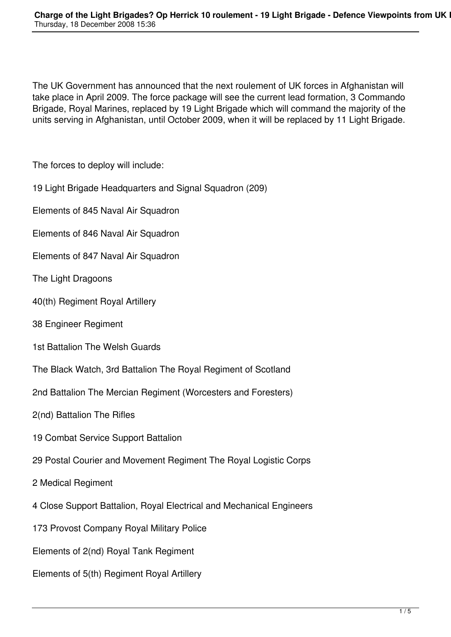The UK Government has announced that the next roulement of UK forces in Afghanistan will take place in April 2009. The force package will see the current lead formation, 3 Commando Brigade, Royal Marines, replaced by 19 Light Brigade which will command the majority of the units serving in Afghanistan, until October 2009, when it will be replaced by 11 Light Brigade.

The forces to deploy will include:

19 Light Brigade Headquarters and Signal Squadron (209)

Elements of 845 Naval Air Squadron

- Elements of 846 Naval Air Squadron
- Elements of 847 Naval Air Squadron
- The Light Dragoons
- 40(th) Regiment Royal Artillery
- 38 Engineer Regiment
- 1st Battalion The Welsh Guards
- The Black Watch, 3rd Battalion The Royal Regiment of Scotland
- 2nd Battalion The Mercian Regiment (Worcesters and Foresters)
- 2(nd) Battalion The Rifles
- 19 Combat Service Support Battalion
- 29 Postal Courier and Movement Regiment The Royal Logistic Corps
- 2 Medical Regiment
- 4 Close Support Battalion, Royal Electrical and Mechanical Engineers
- 173 Provost Company Royal Military Police
- Elements of 2(nd) Royal Tank Regiment
- Elements of 5(th) Regiment Royal Artillery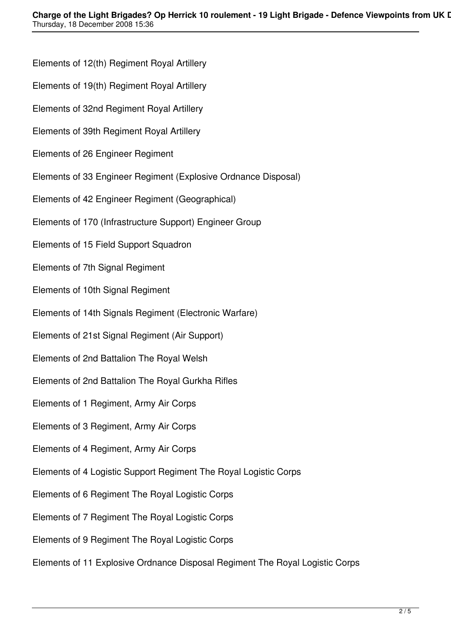Elements of 12(th) Regiment Royal Artillery Elements of 19(th) Regiment Royal Artillery Elements of 32nd Regiment Royal Artillery Elements of 39th Regiment Royal Artillery Elements of 26 Engineer Regiment Elements of 33 Engineer Regiment (Explosive Ordnance Disposal) Elements of 42 Engineer Regiment (Geographical) Elements of 170 (Infrastructure Support) Engineer Group Elements of 15 Field Support Squadron Elements of 7th Signal Regiment Elements of 10th Signal Regiment Elements of 14th Signals Regiment (Electronic Warfare) Elements of 21st Signal Regiment (Air Support) Elements of 2nd Battalion The Royal Welsh Elements of 2nd Battalion The Royal Gurkha Rifles Elements of 1 Regiment, Army Air Corps Elements of 3 Regiment, Army Air Corps Elements of 4 Regiment, Army Air Corps Elements of 4 Logistic Support Regiment The Royal Logistic Corps Elements of 6 Regiment The Royal Logistic Corps Elements of 7 Regiment The Royal Logistic Corps Elements of 9 Regiment The Royal Logistic Corps Elements of 11 Explosive Ordnance Disposal Regiment The Royal Logistic Corps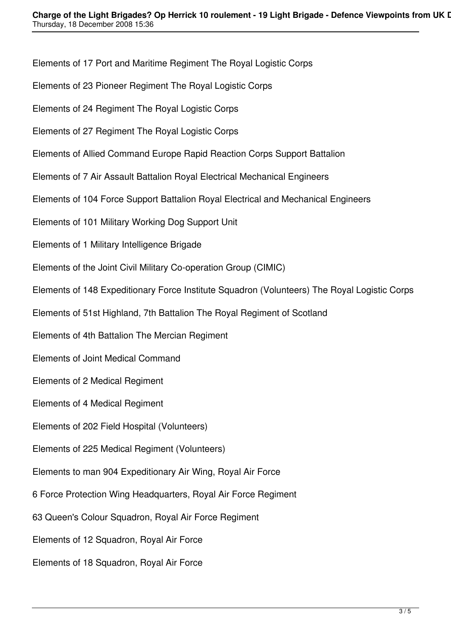Elements of 17 Port and Maritime Regiment The Royal Logistic Corps

- Elements of 23 Pioneer Regiment The Royal Logistic Corps
- Elements of 24 Regiment The Royal Logistic Corps
- Elements of 27 Regiment The Royal Logistic Corps
- Elements of Allied Command Europe Rapid Reaction Corps Support Battalion
- Elements of 7 Air Assault Battalion Royal Electrical Mechanical Engineers
- Elements of 104 Force Support Battalion Royal Electrical and Mechanical Engineers
- Elements of 101 Military Working Dog Support Unit
- Elements of 1 Military Intelligence Brigade
- Elements of the Joint Civil Military Co-operation Group (CIMIC)
- Elements of 148 Expeditionary Force Institute Squadron (Volunteers) The Royal Logistic Corps
- Elements of 51st Highland, 7th Battalion The Royal Regiment of Scotland
- Elements of 4th Battalion The Mercian Regiment
- Elements of Joint Medical Command
- Elements of 2 Medical Regiment
- Elements of 4 Medical Regiment
- Elements of 202 Field Hospital (Volunteers)
- Elements of 225 Medical Regiment (Volunteers)
- Elements to man 904 Expeditionary Air Wing, Royal Air Force
- 6 Force Protection Wing Headquarters, Royal Air Force Regiment
- 63 Queen's Colour Squadron, Royal Air Force Regiment
- Elements of 12 Squadron, Royal Air Force
- Elements of 18 Squadron, Royal Air Force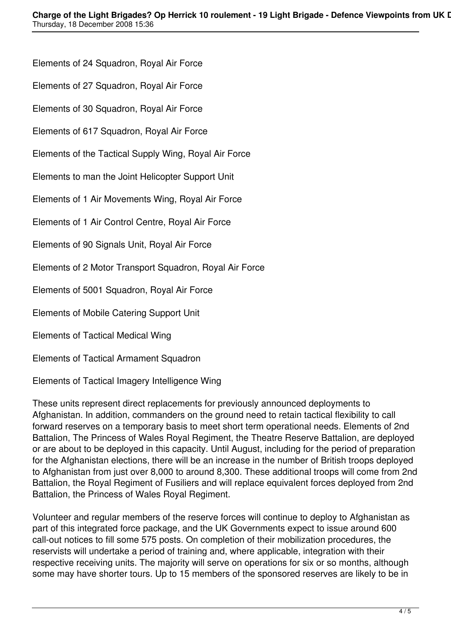Elements of 24 Squadron, Royal Air Force

Elements of 27 Squadron, Royal Air Force

Elements of 30 Squadron, Royal Air Force

Elements of 617 Squadron, Royal Air Force

Elements of the Tactical Supply Wing, Royal Air Force

Elements to man the Joint Helicopter Support Unit

Elements of 1 Air Movements Wing, Royal Air Force

Elements of 1 Air Control Centre, Royal Air Force

Elements of 90 Signals Unit, Royal Air Force

Elements of 2 Motor Transport Squadron, Royal Air Force

Elements of 5001 Squadron, Royal Air Force

Elements of Mobile Catering Support Unit

Elements of Tactical Medical Wing

Elements of Tactical Armament Squadron

Elements of Tactical Imagery Intelligence Wing

These units represent direct replacements for previously announced deployments to Afghanistan. In addition, commanders on the ground need to retain tactical flexibility to call forward reserves on a temporary basis to meet short term operational needs. Elements of 2nd Battalion, The Princess of Wales Royal Regiment, the Theatre Reserve Battalion, are deployed or are about to be deployed in this capacity. Until August, including for the period of preparation for the Afghanistan elections, there will be an increase in the number of British troops deployed to Afghanistan from just over 8,000 to around 8,300. These additional troops will come from 2nd Battalion, the Royal Regiment of Fusiliers and will replace equivalent forces deployed from 2nd Battalion, the Princess of Wales Royal Regiment.

Volunteer and regular members of the reserve forces will continue to deploy to Afghanistan as part of this integrated force package, and the UK Governments expect to issue around 600 call-out notices to fill some 575 posts. On completion of their mobilization procedures, the reservists will undertake a period of training and, where applicable, integration with their respective receiving units. The majority will serve on operations for six or so months, although some may have shorter tours. Up to 15 members of the sponsored reserves are likely to be in